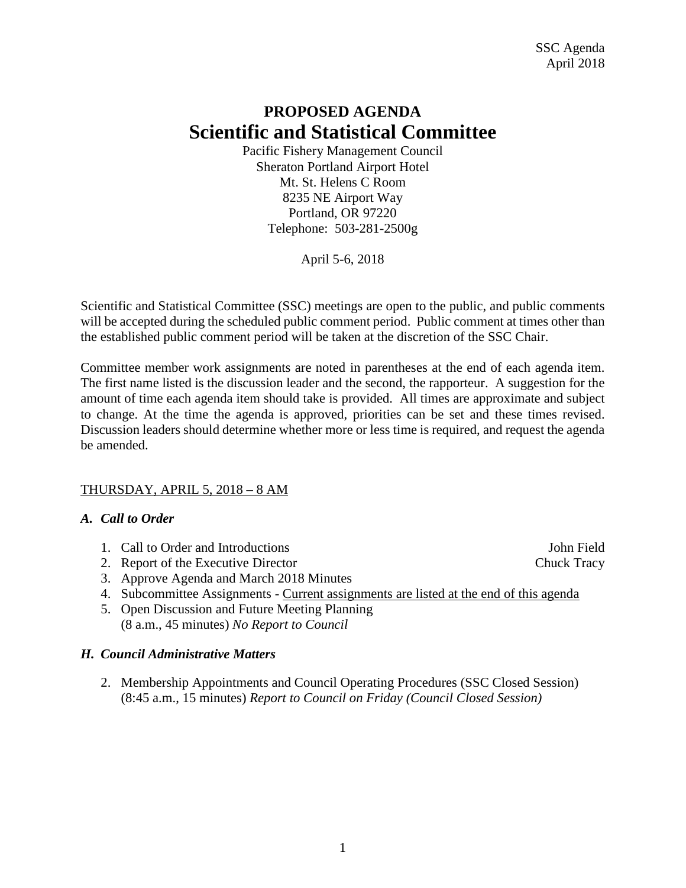## **PROPOSED AGENDA Scientific and Statistical Committee**

Pacific Fishery Management Council Sheraton Portland Airport Hotel Mt. St. Helens C Room 8235 NE Airport Way Portland, OR 97220 Telephone: 503-281-2500g

April 5-6, 2018

Scientific and Statistical Committee (SSC) meetings are open to the public, and public comments will be accepted during the scheduled public comment period. Public comment at times other than the established public comment period will be taken at the discretion of the SSC Chair.

Committee member work assignments are noted in parentheses at the end of each agenda item. The first name listed is the discussion leader and the second, the rapporteur. A suggestion for the amount of time each agenda item should take is provided. All times are approximate and subject to change. At the time the agenda is approved, priorities can be set and these times revised. Discussion leaders should determine whether more or less time is required, and request the agenda be amended.

#### THURSDAY, APRIL 5, 2018 – 8 AM

#### *A. Call to Order*

- 1. Call to Order and Introductions and  $\frac{1}{2}$  subsets and  $\frac{1}{2}$  subsets and  $\frac{1}{2}$  subsets and  $\frac{1}{2}$  subsets and  $\frac{1}{2}$  subsets and  $\frac{1}{2}$  subsets and  $\frac{1}{2}$  subsets and  $\frac{1}{2}$  subsets and  $\frac{1}{2$
- 2. Report of the Executive Director Chuck Tracy
- 3. Approve Agenda and March 2018 Minutes
- 4. Subcommittee Assignments Current assignments are listed at the end of this agenda
- 5. Open Discussion and Future Meeting Planning (8 a.m., 45 minutes) *No Report to Council*

#### *H. Council Administrative Matters*

2. Membership Appointments and Council Operating Procedures (SSC Closed Session) (8:45 a.m., 15 minutes) *Report to Council on Friday (Council Closed Session)*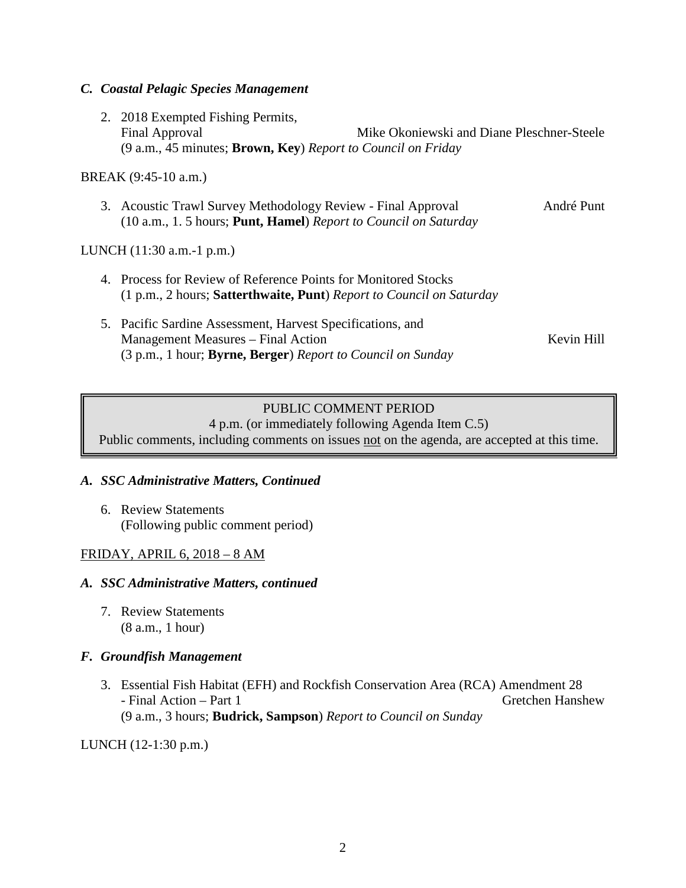#### *C. Coastal Pelagic Species Management*

2. 2018 Exempted Fishing Permits, Final Approval Mike Okoniewski and Diane Pleschner-Steele (9 a.m., 45 minutes; **Brown, Key**) *Report to Council on Friday*

#### BREAK (9:45-10 a.m.)

3. Acoustic Trawl Survey Methodology Review - Final Approval André Punt (10 a.m., 1. 5 hours; **Punt, Hamel**) *Report to Council on Saturday*

#### LUNCH (11:30 a.m.-1 p.m.)

- 4. Process for Review of Reference Points for Monitored Stocks (1 p.m., 2 hours; **Satterthwaite, Punt**) *Report to Council on Saturday*
- 5. Pacific Sardine Assessment, Harvest Specifications, and Management Measures – Final Action Kevin Hill (3 p.m., 1 hour; **Byrne, Berger**) *Report to Council on Sunday*

## PUBLIC COMMENT PERIOD

4 p.m. (or immediately following Agenda Item C.5) Public comments, including comments on issues not on the agenda, are accepted at this time.

#### *A. SSC Administrative Matters, Continued*

6. Review Statements (Following public comment period)

#### FRIDAY, APRIL 6, 2018 – 8 AM

#### *A. SSC Administrative Matters, continued*

7. Review Statements (8 a.m., 1 hour)

#### *F. Groundfish Management*

3. Essential Fish Habitat (EFH) and Rockfish Conservation Area (RCA) Amendment 28 - Final Action – Part 1 Green Hanshew (9 a.m., 3 hours; **Budrick, Sampson**) *Report to Council on Sunday*

LUNCH (12-1:30 p.m.)